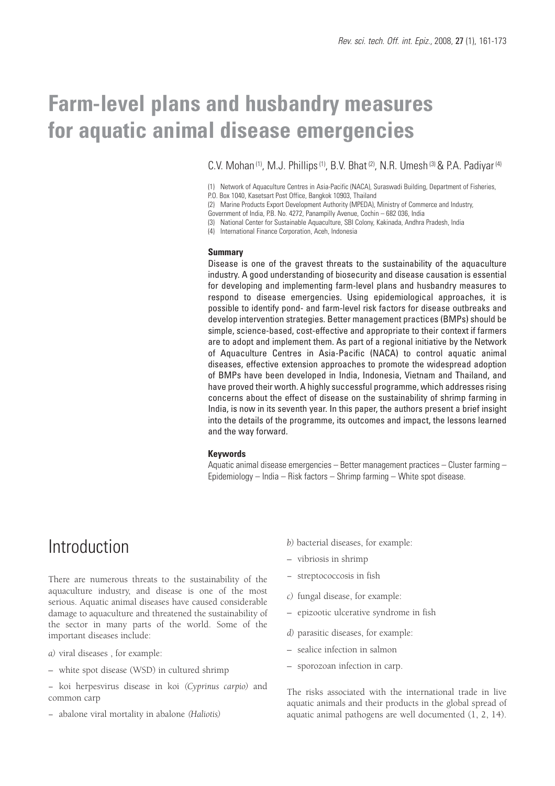# **Farm-level plans and husbandry measures for aquatic animal disease emergencies**

C.V. Mohan<sup>(1)</sup>, M.J. Phillips<sup>(1)</sup>, B.V. Bhat<sup>(2)</sup>, N.R. Umesh<sup>(3)</sup> & P.A. Padiyar<sup>(4)</sup>

P.O. Box 1040, Kasetsart Post Office, Bangkok 10903, Thailand

Government of India, P.B. No. 4272, Panampilly Avenue, Cochin – 682 036, India

(3) National Center for Sustainable Aquaculture, SBI Colony, Kakinada, Andhra Pradesh, India

(4) International Finance Corporation, Aceh, Indonesia

#### **Summary**

Disease is one of the gravest threats to the sustainability of the aquaculture industry. A good understanding of biosecurity and disease causation is essential for developing and implementing farm-level plans and husbandry measures to respond to disease emergencies. Using epidemiological approaches, it is possible to identify pond- and farm-level risk factors for disease outbreaks and develop intervention strategies. Better management practices (BMPs) should be simple, science-based, cost-effective and appropriate to their context if farmers are to adopt and implement them. As part of a regional initiative by the Network of Aquaculture Centres in Asia-Pacific (NACA) to control aquatic animal diseases, effective extension approaches to promote the widespread adoption of BMPs have been developed in India, Indonesia, Vietnam and Thailand, and have proved their worth. A highly successful programme, which addresses rising concerns about the effect of disease on the sustainability of shrimp farming in India, is now in its seventh year. In this paper, the authors present a brief insight into the details of the programme, its outcomes and impact, the lessons learned and the way forward.

#### **Keywords**

Aquatic animal disease emergencies – Better management practices – Cluster farming – Epidemiology – India – Risk factors – Shrimp farming – White spot disease.

## **Introduction**

There are numerous threats to the sustainability of the aquaculture industry, and disease is one of the most serious. Aquatic animal diseases have caused considerable damage to aquaculture and threatened the sustainability of the sector in many parts of the world. Some of the important diseases include:

*a)* viral diseases , for example:

- white spot disease (WSD) in cultured shrimp
- − koi herpesvirus disease in koi *(Cyprinus carpio)* and common carp
- − abalone viral mortality in abalone *(Haliotis)*
- *b)* bacterial diseases, for example:
- vibriosis in shrimp
- − streptococcosis in fish
- *c)* fungal disease, for example:
- epizootic ulcerative syndrome in fish
- *d)* parasitic diseases, for example:
- sealice infection in salmon
- sporozoan infection in carp.

The risks associated with the international trade in live aquatic animals and their products in the global spread of aquatic animal pathogens are well documented (1, 2, 14).

<sup>(1)</sup> Network of Aquaculture Centres in Asia-Pacific (NACA), Suraswadi Building, Department of Fisheries,

<sup>(2)</sup> Marine Products Export Development Authority (MPEDA), Ministry of Commerce and Industry,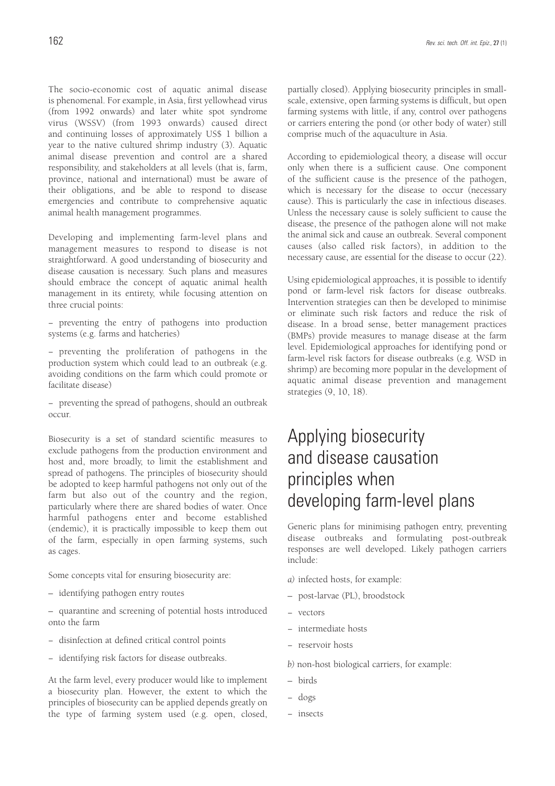The socio-economic cost of aquatic animal disease is phenomenal. For example, in Asia, first yellowhead virus (from 1992 onwards) and later white spot syndrome virus (WSSV) (from 1993 onwards) caused direct and continuing losses of approximately US\$ 1 billion a year to the native cultured shrimp industry (3). Aquatic animal disease prevention and control are a shared responsibility, and stakeholders at all levels (that is, farm, province, national and international) must be aware of their obligations, and be able to respond to disease emergencies and contribute to comprehensive aquatic animal health management programmes.

Developing and implementing farm-level plans and management measures to respond to disease is not straightforward. A good understanding of biosecurity and disease causation is necessary. Such plans and measures should embrace the concept of aquatic animal health management in its entirety, while focusing attention on three crucial points:

− preventing the entry of pathogens into production systems (e.g. farms and hatcheries)

− preventing the proliferation of pathogens in the production system which could lead to an outbreak (e.g. avoiding conditions on the farm which could promote or facilitate disease)

− preventing the spread of pathogens, should an outbreak occur.

Biosecurity is a set of standard scientific measures to exclude pathogens from the production environment and host and, more broadly, to limit the establishment and spread of pathogens. The principles of biosecurity should be adopted to keep harmful pathogens not only out of the farm but also out of the country and the region, particularly where there are shared bodies of water. Once harmful pathogens enter and become established (endemic), it is practically impossible to keep them out of the farm, especially in open farming systems, such as cages.

Some concepts vital for ensuring biosecurity are:

– identifying pathogen entry routes

– quarantine and screening of potential hosts introduced onto the farm

- − disinfection at defined critical control points
- − identifying risk factors for disease outbreaks.

At the farm level, every producer would like to implement a biosecurity plan. However, the extent to which the principles of biosecurity can be applied depends greatly on the type of farming system used (e.g. open, closed,

partially closed). Applying biosecurity principles in smallscale, extensive, open farming systems is difficult, but open farming systems with little, if any, control over pathogens or carriers entering the pond (or other body of water) still comprise much of the aquaculture in Asia.

According to epidemiological theory, a disease will occur only when there is a sufficient cause. One component of the sufficient cause is the presence of the pathogen, which is necessary for the disease to occur (necessary cause). This is particularly the case in infectious diseases. Unless the necessary cause is solely sufficient to cause the disease, the presence of the pathogen alone will not make the animal sick and cause an outbreak. Several component causes (also called risk factors), in addition to the necessary cause, are essential for the disease to occur (22).

Using epidemiological approaches, it is possible to identify pond or farm-level risk factors for disease outbreaks. Intervention strategies can then be developed to minimise or eliminate such risk factors and reduce the risk of disease. In a broad sense, better management practices (BMPs) provide measures to manage disease at the farm level. Epidemiological approaches for identifying pond or farm-level risk factors for disease outbreaks (e.g. WSD in shrimp) are becoming more popular in the development of aquatic animal disease prevention and management strategies (9, 10, 18).

# Applying biosecurity and disease causation principles when developing farm-level plans

Generic plans for minimising pathogen entry, preventing disease outbreaks and formulating post-outbreak responses are well developed. Likely pathogen carriers include:

- *a)* infected hosts, for example:
- post-larvae (PL), broodstock
- − vectors
- − intermediate hosts
- − reservoir hosts
- *b)* non-host biological carriers, for example:
- birds
- − dogs
- − insects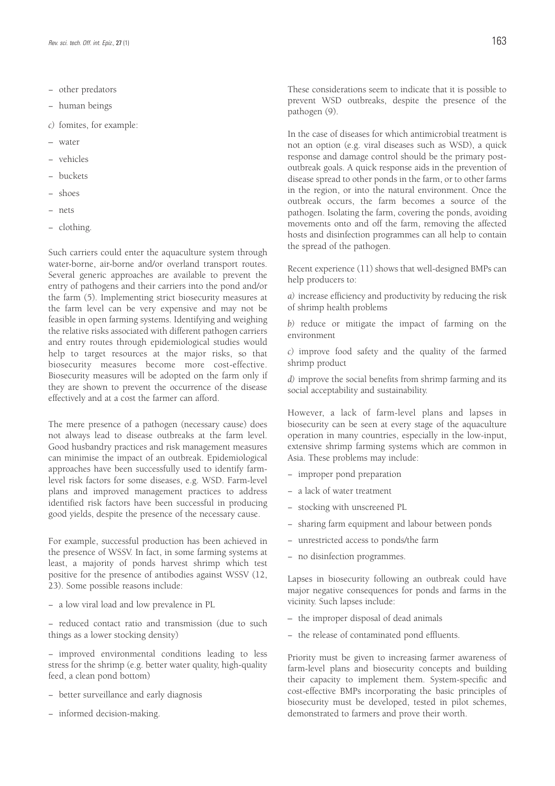- − other predators
- − human beings
- *c)* fomites, for example:
- water
- − vehicles
- − buckets
- − shoes
- − nets
- − clothing.

Such carriers could enter the aquaculture system through water-borne, air-borne and/or overland transport routes. Several generic approaches are available to prevent the entry of pathogens and their carriers into the pond and/or the farm (5). Implementing strict biosecurity measures at the farm level can be very expensive and may not be feasible in open farming systems. Identifying and weighing the relative risks associated with different pathogen carriers and entry routes through epidemiological studies would help to target resources at the major risks, so that biosecurity measures become more cost-effective. Biosecurity measures will be adopted on the farm only if they are shown to prevent the occurrence of the disease effectively and at a cost the farmer can afford.

The mere presence of a pathogen (necessary cause) does not always lead to disease outbreaks at the farm level. Good husbandry practices and risk management measures can minimise the impact of an outbreak. Epidemiological approaches have been successfully used to identify farmlevel risk factors for some diseases, e.g. WSD. Farm-level plans and improved management practices to address identified risk factors have been successful in producing good yields, despite the presence of the necessary cause.

For example, successful production has been achieved in the presence of WSSV. In fact, in some farming systems at least, a majority of ponds harvest shrimp which test positive for the presence of antibodies against WSSV (12, 23). Some possible reasons include:

− a low viral load and low prevalence in PL

− reduced contact ratio and transmission (due to such things as a lower stocking density)

− improved environmental conditions leading to less stress for the shrimp (e.g. better water quality, high-quality feed, a clean pond bottom)

- − better surveillance and early diagnosis
- − informed decision-making.

These considerations seem to indicate that it is possible to prevent WSD outbreaks, despite the presence of the pathogen (9).

In the case of diseases for which antimicrobial treatment is not an option (e.g. viral diseases such as WSD), a quick response and damage control should be the primary postoutbreak goals. A quick response aids in the prevention of disease spread to other ponds in the farm, or to other farms in the region, or into the natural environment. Once the outbreak occurs, the farm becomes a source of the pathogen. Isolating the farm, covering the ponds, avoiding movements onto and off the farm, removing the affected hosts and disinfection programmes can all help to contain the spread of the pathogen.

Recent experience (11) shows that well-designed BMPs can help producers to:

*a)* increase efficiency and productivity by reducing the risk of shrimp health problems

*b)* reduce or mitigate the impact of farming on the environment

*c)* improve food safety and the quality of the farmed shrimp product

*d)* improve the social benefits from shrimp farming and its social acceptability and sustainability.

However, a lack of farm-level plans and lapses in biosecurity can be seen at every stage of the aquaculture operation in many countries, especially in the low-input, extensive shrimp farming systems which are common in Asia. These problems may include:

- − improper pond preparation
- − a lack of water treatment
- − stocking with unscreened PL
- − sharing farm equipment and labour between ponds
- − unrestricted access to ponds/the farm
- − no disinfection programmes.

Lapses in biosecurity following an outbreak could have major negative consequences for ponds and farms in the vicinity. Such lapses include:

- the improper disposal of dead animals
- − the release of contaminated pond effluents.

Priority must be given to increasing farmer awareness of farm-level plans and biosecurity concepts and building their capacity to implement them. System-specific and cost-effective BMPs incorporating the basic principles of biosecurity must be developed, tested in pilot schemes, demonstrated to farmers and prove their worth.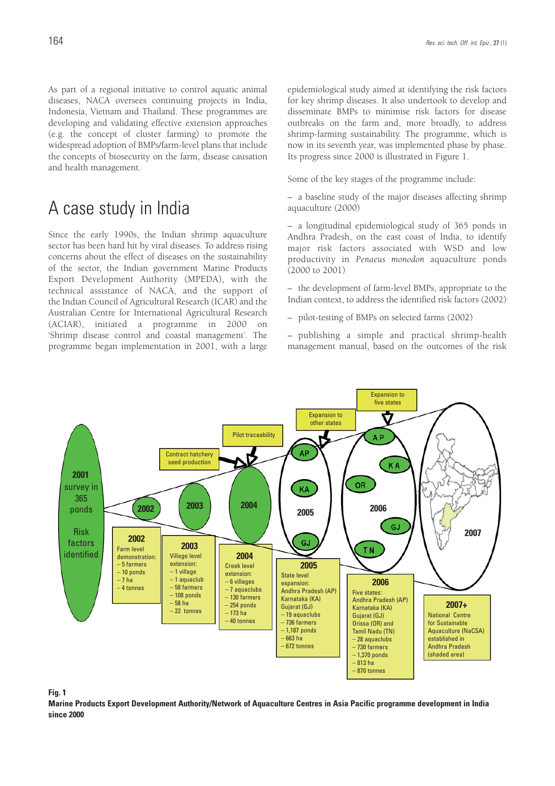As part of a regional initiative to control aquatic animal diseases, NACA oversees continuing projects in India, Indonesia, Vietnam and Thailand. These programmes are developing and validating effective extension approaches (e.g. the concept of cluster farming) to promote the widespread adoption of BMPs/farm-level plans that include the concepts of biosecurity on the farm, disease causation and health management.

## A case study in India

Since the early 1990s, the Indian shrimp aquaculture sector has been hard hit by viral diseases. To address rising concerns about the effect of diseases on the sustainability of the sector, the Indian government Marine Products Export Development Authority (MPEDA), with the technical assistance of NACA, and the support of the Indian Council of Agricultural Research (ICAR) and the Australian Centre for International Agricultural Research (ACIAR), initiated a programme in 2000 on 'Shrimp disease control and coastal management'. The programme began implementation in 2001, with a large epidemiological study aimed at identifying the risk factors for key shrimp diseases. It also undertook to develop and disseminate BMPs to minimise risk factors for disease outbreaks on the farm and, more broadly, to address shrimp-farming sustainability. The programme, which is now in its seventh year, was implemented phase by phase. Its progress since 2000 is illustrated in Figure 1.

Some of the key stages of the programme include:

– a baseline study of the major diseases affecting shrimp aquaculture (2000)

– a longitudinal epidemiological study of 365 ponds in Andhra Pradesh, on the east coast of India, to identify major risk factors associated with WSD and low productivity in *Penaeus monodon* aquaculture ponds (2000 to 2001)

– the development of farm-level BMPs, appropriate to the Indian context, to address the identified risk factors (2002)

– pilot-testing of BMPs on selected farms (2002)

– publishing a simple and practical shrimp-health management manual, based on the outcomes of the risk



#### **Fig. 1**

**Marine Products Export Development Authority/Network of Aquaculture Centres in Asia Pacific programme development in India since 2000**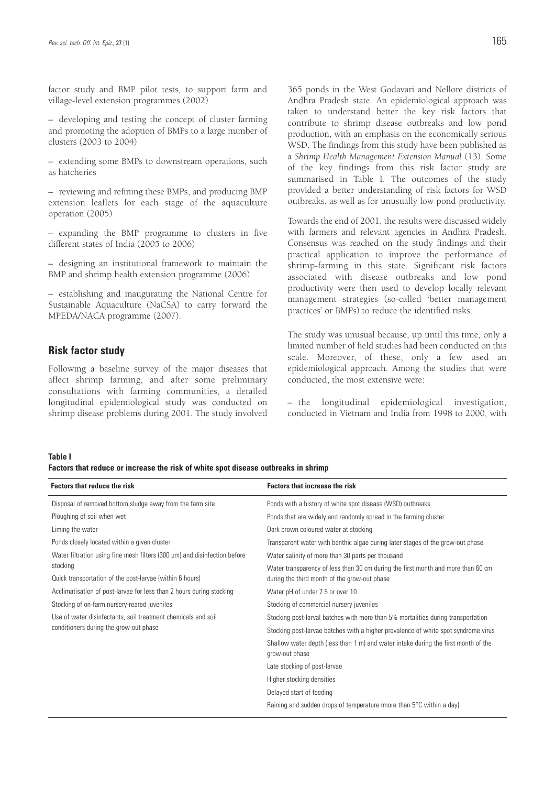factor study and BMP pilot tests, to support farm and village-level extension programmes (2002)

– developing and testing the concept of cluster farming and promoting the adoption of BMPs to a large number of clusters (2003 to 2004)

– extending some BMPs to downstream operations, such as hatcheries

– reviewing and refining these BMPs, and producing BMP extension leaflets for each stage of the aquaculture operation (2005)

– expanding the BMP programme to clusters in five different states of India (2005 to 2006)

– designing an institutional framework to maintain the BMP and shrimp health extension programme (2006)

– establishing and inaugurating the National Centre for Sustainable Aquaculture (NaCSA) to carry forward the MPEDA/NACA programme (2007).

### **Risk factor study**

Following a baseline survey of the major diseases that affect shrimp farming, and after some preliminary consultations with farming communities, a detailed longitudinal epidemiological study was conducted on shrimp disease problems during 2001. The study involved

365 ponds in the West Godavari and Nellore districts of Andhra Pradesh state. An epidemiological approach was taken to understand better the key risk factors that contribute to shrimp disease outbreaks and low pond production, with an emphasis on the economically serious WSD. The findings from this study have been published as a *Shrimp Health Management Extension Manual* (13). Some of the key findings from this risk factor study are summarised in Table I. The outcomes of the study provided a better understanding of risk factors for WSD outbreaks, as well as for unusually low pond productivity.

Towards the end of 2001, the results were discussed widely with farmers and relevant agencies in Andhra Pradesh. Consensus was reached on the study findings and their practical application to improve the performance of shrimp-farming in this state. Significant risk factors associated with disease outbreaks and low pond productivity were then used to develop locally relevant management strategies (so-called 'better management practices' or BMPs) to reduce the identified risks.

The study was unusual because, up until this time, only a limited number of field studies had been conducted on this scale. Moreover, of these, only a few used an epidemiological approach. Among the studies that were conducted, the most extensive were:

– the longitudinal epidemiological investigation, conducted in Vietnam and India from 1998 to 2000, with

#### **Table I**

**Factors that reduce or increase the risk of white spot disease outbreaks in shrimp**

| <b>Factors that reduce the risk</b>                                       | <b>Factors that increase the risk</b>                                                                                            |  |
|---------------------------------------------------------------------------|----------------------------------------------------------------------------------------------------------------------------------|--|
| Disposal of removed bottom sludge away from the farm site                 | Ponds with a history of white spot disease (WSD) outbreaks                                                                       |  |
| Ploughing of soil when wet                                                | Ponds that are widely and randomly spread in the farming cluster                                                                 |  |
| Liming the water                                                          | Dark brown coloured water at stocking                                                                                            |  |
| Ponds closely located within a given cluster                              | Transparent water with benthic algae during later stages of the grow-out phase                                                   |  |
| Water filtration using fine mesh filters (300 µm) and disinfection before | Water salinity of more than 30 parts per thousand                                                                                |  |
| stocking<br>Quick transportation of the post-larvae (within 6 hours)      | Water transparency of less than 30 cm during the first month and more than 60 cm<br>during the third month of the grow-out phase |  |
| Acclimatisation of post-larvae for less than 2 hours during stocking      | Water pH of under 7.5 or over 10                                                                                                 |  |
| Stocking of on-farm nursery-reared juveniles                              | Stocking of commercial nursery juveniles                                                                                         |  |
| Use of water disinfectants, soil treatment chemicals and soil             | Stocking post-larval batches with more than 5% mortalities during transportation                                                 |  |
| conditioners during the grow-out phase                                    | Stocking post-larvae batches with a higher prevalence of white spot syndrome virus                                               |  |
|                                                                           | Shallow water depth (less than 1 m) and water intake during the first month of the<br>grow-out phase                             |  |
|                                                                           | Late stocking of post-larvae                                                                                                     |  |
|                                                                           | Higher stocking densities                                                                                                        |  |
|                                                                           | Delayed start of feeding                                                                                                         |  |
|                                                                           | Raining and sudden drops of temperature (more than 5°C within a day)                                                             |  |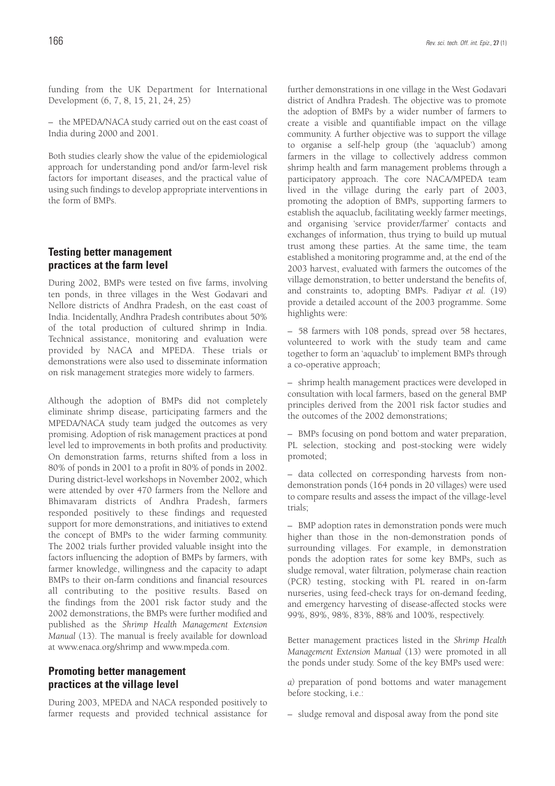funding from the UK Department for International Development (6, 7, 8, 15, 21, 24, 25)

– the MPEDA/NACA study carried out on the east coast of India during 2000 and 2001.

Both studies clearly show the value of the epidemiological approach for understanding pond and/or farm-level risk factors for important diseases, and the practical value of using such findings to develop appropriate interventions in the form of BMPs.

### **Testing better management practices at the farm level**

During 2002, BMPs were tested on five farms, involving ten ponds, in three villages in the West Godavari and Nellore districts of Andhra Pradesh, on the east coast of India. Incidentally, Andhra Pradesh contributes about 50% of the total production of cultured shrimp in India. Technical assistance, monitoring and evaluation were provided by NACA and MPEDA. These trials or demonstrations were also used to disseminate information on risk management strategies more widely to farmers.

Although the adoption of BMPs did not completely eliminate shrimp disease, participating farmers and the MPEDA/NACA study team judged the outcomes as very promising. Adoption of risk management practices at pond level led to improvements in both profits and productivity. On demonstration farms, returns shifted from a loss in 80% of ponds in 2001 to a profit in 80% of ponds in 2002. During district-level workshops in November 2002, which were attended by over 470 farmers from the Nellore and Bhimavaram districts of Andhra Pradesh, farmers responded positively to these findings and requested support for more demonstrations, and initiatives to extend the concept of BMPs to the wider farming community. The 2002 trials further provided valuable insight into the factors influencing the adoption of BMPs by farmers, with farmer knowledge, willingness and the capacity to adapt BMPs to their on-farm conditions and financial resources all contributing to the positive results. Based on the findings from the 2001 risk factor study and the 2002 demonstrations, the BMPs were further modified and published as the *Shrimp Health Management Extension Manual* (13). The manual is freely available for download at www.enaca.org/shrimp and www.mpeda.com.

### **Promoting better management practices at the village level**

During 2003, MPEDA and NACA responded positively to farmer requests and provided technical assistance for further demonstrations in one village in the West Godavari district of Andhra Pradesh. The objective was to promote the adoption of BMPs by a wider number of farmers to create a visible and quantifiable impact on the village community. A further objective was to support the village to organise a self-help group (the 'aquaclub') among farmers in the village to collectively address common shrimp health and farm management problems through a participatory approach. The core NACA/MPEDA team lived in the village during the early part of 2003, promoting the adoption of BMPs, supporting farmers to establish the aquaclub, facilitating weekly farmer meetings, and organising 'service provider/farmer' contacts and exchanges of information, thus trying to build up mutual trust among these parties. At the same time, the team established a monitoring programme and, at the end of the 2003 harvest, evaluated with farmers the outcomes of the village demonstration, to better understand the benefits of, and constraints to, adopting BMPs. Padiyar *et al.* (19) provide a detailed account of the 2003 programme. Some highlights were:

– 58 farmers with 108 ponds, spread over 58 hectares, volunteered to work with the study team and came together to form an 'aquaclub' to implement BMPs through a co-operative approach;

– shrimp health management practices were developed in consultation with local farmers, based on the general BMP principles derived from the 2001 risk factor studies and the outcomes of the 2002 demonstrations;

– BMPs focusing on pond bottom and water preparation, PL selection, stocking and post-stocking were widely promoted;

– data collected on corresponding harvests from nondemonstration ponds (164 ponds in 20 villages) were used to compare results and assess the impact of the village-level trials;

– BMP adoption rates in demonstration ponds were much higher than those in the non-demonstration ponds of surrounding villages. For example, in demonstration ponds the adoption rates for some key BMPs, such as sludge removal, water filtration, polymerase chain reaction (PCR) testing, stocking with PL reared in on-farm nurseries, using feed-check trays for on-demand feeding, and emergency harvesting of disease-affected stocks were 99%, 89%, 98%, 83%, 88% and 100%, respectively.

Better management practices listed in the *Shrimp Health Management Extension Manual* (13) were promoted in all the ponds under study. Some of the key BMPs used were:

*a)* preparation of pond bottoms and water management before stocking, i.e.:

– sludge removal and disposal away from the pond site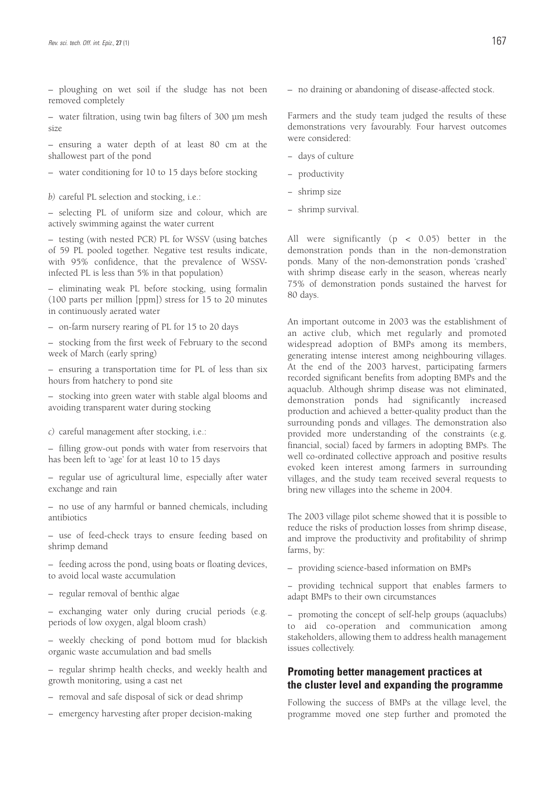– ploughing on wet soil if the sludge has not been removed completely

– water filtration, using twin bag filters of 300 μm mesh size

– ensuring a water depth of at least 80 cm at the shallowest part of the pond

– water conditioning for 10 to 15 days before stocking

*b)* careful PL selection and stocking, i.e.:

– selecting PL of uniform size and colour, which are actively swimming against the water current

– testing (with nested PCR) PL for WSSV (using batches of 59 PL pooled together. Negative test results indicate, with 95% confidence, that the prevalence of WSSVinfected PL is less than 5% in that population)

– eliminating weak PL before stocking, using formalin (100 parts per million [ppm]) stress for 15 to 20 minutes in continuously aerated water

– on-farm nursery rearing of PL for 15 to 20 days

– stocking from the first week of February to the second week of March (early spring)

– ensuring a transportation time for PL of less than six hours from hatchery to pond site

– stocking into green water with stable algal blooms and avoiding transparent water during stocking

*c)* careful management after stocking, i.e.:

– filling grow-out ponds with water from reservoirs that has been left to 'age' for at least 10 to 15 days

– regular use of agricultural lime, especially after water exchange and rain

– no use of any harmful or banned chemicals, including antibiotics

– use of feed-check trays to ensure feeding based on shrimp demand

– feeding across the pond, using boats or floating devices, to avoid local waste accumulation

– regular removal of benthic algae

– exchanging water only during crucial periods (e.g. periods of low oxygen, algal bloom crash)

– weekly checking of pond bottom mud for blackish organic waste accumulation and bad smells

– regular shrimp health checks, and weekly health and growth monitoring, using a cast net

– removal and safe disposal of sick or dead shrimp

– emergency harvesting after proper decision-making

– no draining or abandoning of disease-affected stock.

Farmers and the study team judged the results of these demonstrations very favourably. Four harvest outcomes were considered:

− days of culture

− productivity

- shrimp size
- shrimp survival.

All were significantly (p < 0.05) better in the demonstration ponds than in the non-demonstration ponds. Many of the non-demonstration ponds 'crashed' with shrimp disease early in the season, whereas nearly 75% of demonstration ponds sustained the harvest for 80 days.

An important outcome in 2003 was the establishment of an active club, which met regularly and promoted widespread adoption of BMPs among its members, generating intense interest among neighbouring villages. At the end of the 2003 harvest, participating farmers recorded significant benefits from adopting BMPs and the aquaclub. Although shrimp disease was not eliminated, demonstration ponds had significantly increased production and achieved a better-quality product than the surrounding ponds and villages. The demonstration also provided more understanding of the constraints (e.g. financial, social) faced by farmers in adopting BMPs. The well co-ordinated collective approach and positive results evoked keen interest among farmers in surrounding villages, and the study team received several requests to bring new villages into the scheme in 2004.

The 2003 village pilot scheme showed that it is possible to reduce the risks of production losses from shrimp disease, and improve the productivity and profitability of shrimp farms, by:

– providing science-based information on BMPs

− providing technical support that enables farmers to adapt BMPs to their own circumstances

− promoting the concept of self-help groups (aquaclubs) to aid co-operation and communication among stakeholders, allowing them to address health management issues collectively.

### **Promoting better management practices at the cluster level and expanding the programme**

Following the success of BMPs at the village level, the programme moved one step further and promoted the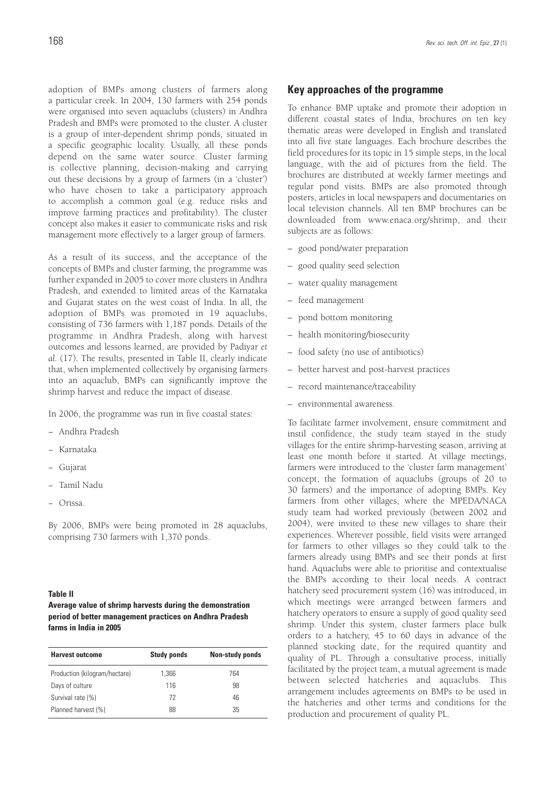adoption of BMPs among clusters of farmers along a particular creek. In 2004, 130 farmers with 254 ponds were organised into seven aquaclubs (clusters) in Andhra Pradesh and BMPs were promoted to the cluster. A cluster is a group of inter-dependent shrimp ponds, situated in a specific geographic locality. Usually, all these ponds depend on the same water source. Cluster farming is collective planning, decision-making and carrying out these decisions by a group of farmers (in a 'cluster') who have chosen to take a participatory approach to accomplish a common goal (e.g. reduce risks and improve farming practices and profitability). The cluster concept also makes it easier to communicate risks and risk management more effectively to a larger group of farmers.

As a result of its success, and the acceptance of the concepts of BMPs and cluster farming, the programme was further expanded in 2005 to cover more clusters in Andhra Pradesh, and extended to limited areas of the Karnataka and Gujarat states on the west coast of India. In all, the adoption of BMPs was promoted in 19 aquaclubs, consisting of 736 farmers with 1,187 ponds. Details of the programme in Andhra Pradesh, along with harvest outcomes and lessons learned, are provided by Padiyar *et al.* (17). The results, presented in Table II, clearly indicate that, when implemented collectively by organising farmers into an aquaclub, BMPs can significantly improve the shrimp harvest and reduce the impact of disease.

In 2006, the programme was run in five coastal states:

- − Andhra Pradesh
- − Karnataka
- − Gujarat
- − Tamil Nadu
- − Orissa.

By 2006, BMPs were being promoted in 28 aquaclubs, comprising 730 farmers with 1,370 ponds.

#### **Table II**

**Average value of shrimp harvests during the demonstration period of better management practices on Andhra Pradesh farms in India in 2005**

| <b>Harvest outcome</b>        | <b>Study ponds</b> | Non-study ponds |  |
|-------------------------------|--------------------|-----------------|--|
| Production (kilogram/hectare) | 1.366              | 764             |  |
| Days of culture               | 116                | 98              |  |
| Survival rate (%)             | 72                 | 46              |  |
| Planned harvest (%)           | 88                 | 35              |  |

### **Key approaches of the programme**

To enhance BMP uptake and promote their adoption in different coastal states of India, brochures on ten key thematic areas were developed in English and translated into all five state languages. Each brochure describes the field procedures for its topic in 15 simple steps, in the local language, with the aid of pictures from the field. The brochures are distributed at weekly farmer meetings and regular pond visits. BMPs are also promoted through posters, articles in local newspapers and documentaries on local television channels. All ten BMP brochures can be downloaded from www.enaca.org/shrimp, and their subjects are as follows:

- good pond/water preparation
- good quality seed selection
- water quality management
- feed management
- pond bottom monitoring
- health monitoring/biosecurity
- food safety (no use of antibiotics)
- better harvest and post-harvest practices
- record maintenance/traceability
- environmental awareness.

To facilitate farmer involvement, ensure commitment and instil confidence, the study team stayed in the study villages for the entire shrimp-harvesting season, arriving at least one month before it started. At village meetings, farmers were introduced to the 'cluster farm management' concept, the formation of aquaclubs (groups of 20 to 30 farmers) and the importance of adopting BMPs. Key farmers from other villages, where the MPEDA/NACA study team had worked previously (between 2002 and 2004), were invited to these new villages to share their experiences. Wherever possible, field visits were arranged for farmers to other villages so they could talk to the farmers already using BMPs and see their ponds at first hand. Aquaclubs were able to prioritise and contextualise the BMPs according to their local needs. A contract hatchery seed procurement system (16) was introduced, in which meetings were arranged between farmers and hatchery operators to ensure a supply of good quality seed shrimp. Under this system, cluster farmers place bulk orders to a hatchery, 45 to 60 days in advance of the planned stocking date, for the required quantity and quality of PL. Through a consultative process, initially facilitated by the project team, a mutual agreement is made between selected hatcheries and aquaclubs. This arrangement includes agreements on BMPs to be used in the hatcheries and other terms and conditions for the production and procurement of quality PL.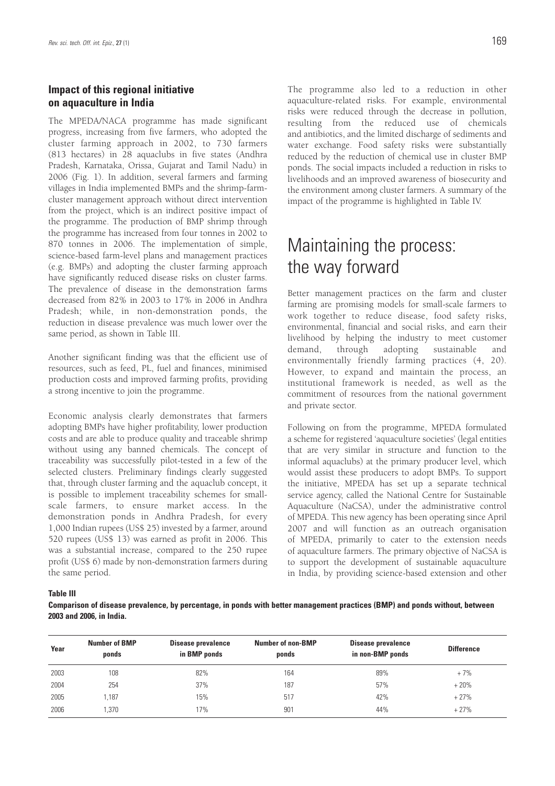### **Impact of this regional initiative on aquaculture in India**

The MPEDA/NACA programme has made significant progress, increasing from five farmers, who adopted the cluster farming approach in 2002, to 730 farmers (813 hectares) in 28 aquaclubs in five states (Andhra Pradesh, Karnataka, Orissa, Gujarat and Tamil Nadu) in 2006 (Fig. 1). In addition, several farmers and farming villages in India implemented BMPs and the shrimp-farmcluster management approach without direct intervention from the project, which is an indirect positive impact of the programme. The production of BMP shrimp through the programme has increased from four tonnes in 2002 to 870 tonnes in 2006. The implementation of simple, science-based farm-level plans and management practices (e.g. BMPs) and adopting the cluster farming approach have significantly reduced disease risks on cluster farms. The prevalence of disease in the demonstration farms decreased from 82% in 2003 to 17% in 2006 in Andhra Pradesh; while, in non-demonstration ponds, the reduction in disease prevalence was much lower over the same period, as shown in Table III.

Another significant finding was that the efficient use of resources, such as feed, PL, fuel and finances, minimised production costs and improved farming profits, providing a strong incentive to join the programme.

Economic analysis clearly demonstrates that farmers adopting BMPs have higher profitability, lower production costs and are able to produce quality and traceable shrimp without using any banned chemicals. The concept of traceability was successfully pilot-tested in a few of the selected clusters. Preliminary findings clearly suggested that, through cluster farming and the aquaclub concept, it is possible to implement traceability schemes for smallscale farmers, to ensure market access. In the demonstration ponds in Andhra Pradesh, for every 1,000 Indian rupees (US\$ 25) invested by a farmer, around 520 rupees (US\$ 13) was earned as profit in 2006. This was a substantial increase, compared to the 250 rupee profit (US\$ 6) made by non-demonstration farmers during the same period.

The programme also led to a reduction in other aquaculture-related risks. For example, environmental risks were reduced through the decrease in pollution, resulting from the reduced use of chemicals and antibiotics, and the limited discharge of sediments and water exchange. Food safety risks were substantially reduced by the reduction of chemical use in cluster BMP ponds. The social impacts included a reduction in risks to livelihoods and an improved awareness of biosecurity and the environment among cluster farmers. A summary of the impact of the programme is highlighted in Table IV.

# Maintaining the process: the way forward

Better management practices on the farm and cluster farming are promising models for small-scale farmers to work together to reduce disease, food safety risks, environmental, financial and social risks, and earn their livelihood by helping the industry to meet customer demand, through adopting sustainable and environmentally friendly farming practices (4, 20). However, to expand and maintain the process, an institutional framework is needed, as well as the commitment of resources from the national government and private sector.

Following on from the programme, MPEDA formulated a scheme for registered 'aquaculture societies' (legal entities that are very similar in structure and function to the informal aquaclubs) at the primary producer level, which would assist these producers to adopt BMPs. To support the initiative, MPEDA has set up a separate technical service agency, called the National Centre for Sustainable Aquaculture (NaCSA), under the administrative control of MPEDA. This new agency has been operating since April 2007 and will function as an outreach organisation of MPEDA, primarily to cater to the extension needs of aquaculture farmers. The primary objective of NaCSA is to support the development of sustainable aquaculture in India, by providing science-based extension and other

**Table III**

**Comparison of disease prevalence, by percentage, in ponds with better management practices (BMP) and ponds without, between 2003 and 2006, in India.**

| Year | <b>Number of BMP</b><br>ponds | <b>Disease prevalence</b><br>in BMP ponds | <b>Number of non-BMP</b><br>ponds | Disease prevalence<br>in non-BMP ponds | <b>Difference</b> |
|------|-------------------------------|-------------------------------------------|-----------------------------------|----------------------------------------|-------------------|
| 2003 | 108                           | 82%                                       | 164                               | 89%                                    | $+7%$             |
| 2004 | 254                           | 37%                                       | 187                               | 57%                                    | $+20%$            |
| 2005 | 1.187                         | 15%                                       | 517                               | 42%                                    | $+27%$            |
| 2006 | .370                          | 17%                                       | 901                               | 44%                                    | $+27%$            |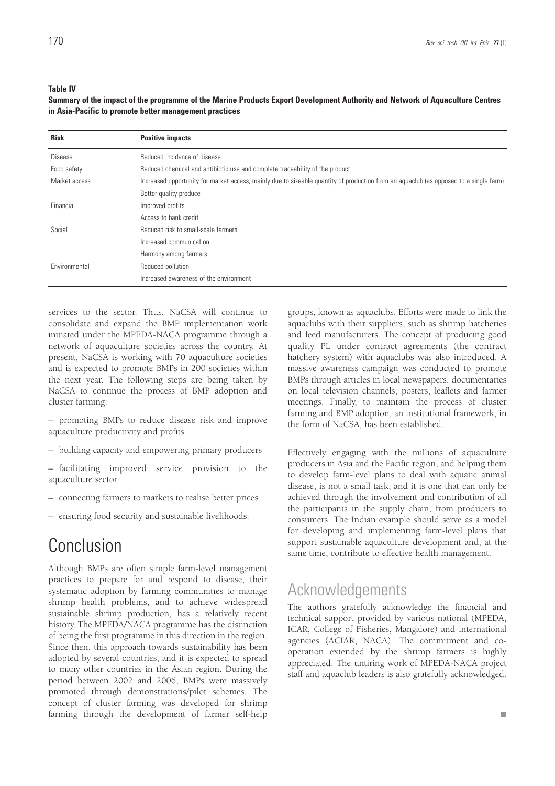#### **Table IV**

**Summary of the impact of the programme of the Marine Products Export Development Authority and Network of Aquaculture Centres in Asia-Pacific to promote better management practices** 

| <b>Risk</b>    | <b>Positive impacts</b>                                                                                                               |
|----------------|---------------------------------------------------------------------------------------------------------------------------------------|
| <b>Disease</b> | Reduced incidence of disease                                                                                                          |
| Food safety    | Reduced chemical and antibiotic use and complete traceability of the product                                                          |
| Market access  | Increased opportunity for market access, mainly due to sizeable quantity of production from an aquaclub (as opposed to a single farm) |
|                | Better quality produce                                                                                                                |
| Financial      | Improved profits                                                                                                                      |
|                | Access to bank credit                                                                                                                 |
| Social         | Reduced risk to small-scale farmers                                                                                                   |
|                | Increased communication                                                                                                               |
|                | Harmony among farmers                                                                                                                 |
| Environmental  | Reduced pollution                                                                                                                     |
|                | Increased awareness of the environment                                                                                                |

services to the sector. Thus, NaCSA will continue to consolidate and expand the BMP implementation work initiated under the MPEDA-NACA programme through a network of aquaculture societies across the country. At present, NaCSA is working with 70 aquaculture societies and is expected to promote BMPs in 200 societies within the next year. The following steps are being taken by NaCSA to continue the process of BMP adoption and cluster farming:

- promoting BMPs to reduce disease risk and improve aquaculture productivity and profits
- building capacity and empowering primary producers
- facilitating improved service provision to the aquaculture sector
- connecting farmers to markets to realise better prices
- ensuring food security and sustainable livelihoods.

# Conclusion

Although BMPs are often simple farm-level management practices to prepare for and respond to disease, their systematic adoption by farming communities to manage shrimp health problems, and to achieve widespread sustainable shrimp production, has a relatively recent history. The MPEDA/NACA programme has the distinction of being the first programme in this direction in the region. Since then, this approach towards sustainability has been adopted by several countries, and it is expected to spread to many other countries in the Asian region. During the period between 2002 and 2006, BMPs were massively promoted through demonstrations/pilot schemes. The concept of cluster farming was developed for shrimp farming through the development of farmer self-help

groups, known as aquaclubs. Efforts were made to link the aquaclubs with their suppliers, such as shrimp hatcheries and feed manufacturers. The concept of producing good quality PL under contract agreements (the contract hatchery system) with aquaclubs was also introduced. A massive awareness campaign was conducted to promote BMPs through articles in local newspapers, documentaries on local television channels, posters, leaflets and farmer meetings. Finally, to maintain the process of cluster farming and BMP adoption, an institutional framework, in the form of NaCSA, has been established.

Effectively engaging with the millions of aquaculture producers in Asia and the Pacific region, and helping them to develop farm-level plans to deal with aquatic animal disease, is not a small task, and it is one that can only be achieved through the involvement and contribution of all the participants in the supply chain, from producers to consumers. The Indian example should serve as a model for developing and implementing farm-level plans that support sustainable aquaculture development and, at the same time, contribute to effective health management.

## Acknowledgements

The authors gratefully acknowledge the financial and technical support provided by various national (MPEDA, ICAR, College of Fisheries, Mangalore) and international agencies (ACIAR, NACA). The commitment and cooperation extended by the shrimp farmers is highly appreciated. The untiring work of MPEDA-NACA project staff and aquaclub leaders is also gratefully acknowledged.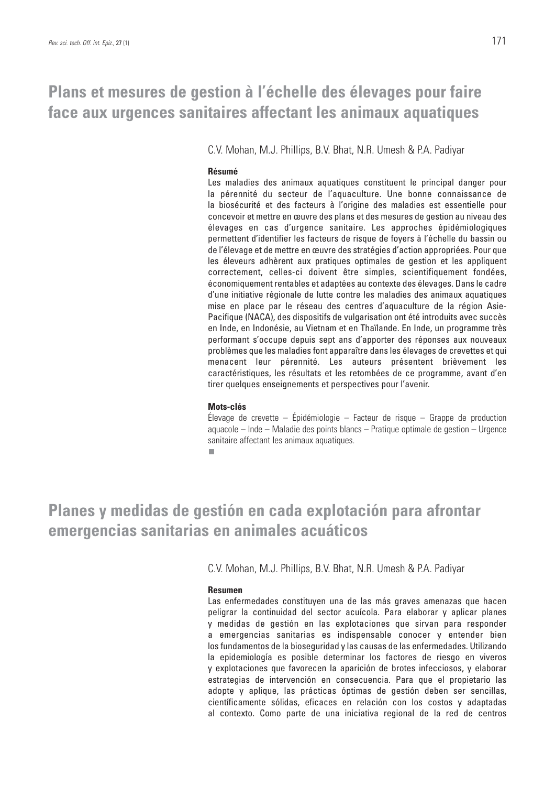# **Plans et mesures de gestion à l'échelle des élevages pour faire face aux urgences sanitaires affectant les animaux aquatiques**

C.V. Mohan, M.J. Phillips, B.V. Bhat, N.R. Umesh & P.A. Padiyar

### **Résumé**

Les maladies des animaux aquatiques constituent le principal danger pour la pérennité du secteur de l'aquaculture. Une bonne connaissance de la biosécurité et des facteurs à l'origine des maladies est essentielle pour concevoir et mettre en œuvre des plans et des mesures de gestion au niveau des élevages en cas d'urgence sanitaire. Les approches épidémiologiques permettent d'identifier les facteurs de risque de foyers à l'échelle du bassin ou de l'élevage et de mettre en œuvre des stratégies d'action appropriées. Pour que les éleveurs adhèrent aux pratiques optimales de gestion et les appliquent correctement, celles-ci doivent être simples, scientifiquement fondées, économiquement rentables et adaptées au contexte des élevages. Dans le cadre d'une initiative régionale de lutte contre les maladies des animaux aquatiques mise en place par le réseau des centres d'aquaculture de la région Asie-Pacifique (NACA), des dispositifs de vulgarisation ont été introduits avec succès en Inde, en Indonésie, au Vietnam et en Thaïlande. En Inde, un programme très performant s'occupe depuis sept ans d'apporter des réponses aux nouveaux problèmes que les maladies font apparaître dans les élevages de crevettes et qui menacent leur pérennité. Les auteurs présentent brièvement les caractéristiques, les résultats et les retombées de ce programme, avant d'en tirer quelques enseignements et perspectives pour l'avenir.

### **Mots-clés**

Élevage de crevette – Épidémiologie – Facteur de risque – Grappe de production aquacole – Inde – Maladie des points blancs – Pratique optimale de gestion – Urgence sanitaire affectant les animaux aquatiques.

п

# **Planes y medidas de gestión en cada explotación para afrontar emergencias sanitarias en animales acuáticos**

C.V. Mohan, M.J. Phillips, B.V. Bhat, N.R. Umesh & P.A. Padiyar

### **Resumen**

Las enfermedades constituyen una de las más graves amenazas que hacen peligrar la continuidad del sector acuícola. Para elaborar y aplicar planes y medidas de gestión en las explotaciones que sirvan para responder a emergencias sanitarias es indispensable conocer y entender bien los fundamentos de la bioseguridad y las causas de las enfermedades. Utilizando la epidemiología es posible determinar los factores de riesgo en viveros y explotaciones que favorecen la aparición de brotes infecciosos, y elaborar estrategias de intervención en consecuencia. Para que el propietario las adopte y aplique, las prácticas óptimas de gestión deben ser sencillas, científicamente sólidas, eficaces en relación con los costos y adaptadas al contexto. Como parte de una iniciativa regional de la red de centros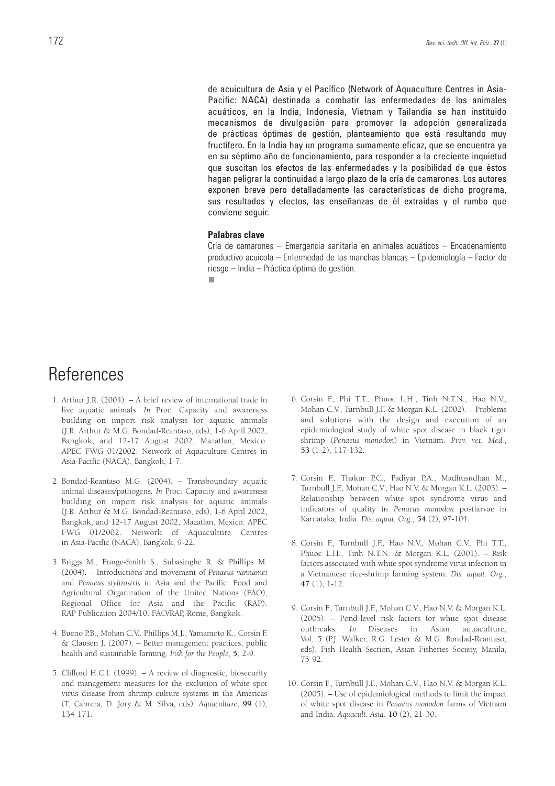de acuicultura de Asia y el Pacífico (Network of Aquaculture Centres in Asia-Pacific: NACA) destinada a combatir las enfermedades de los animales acuáticos, en la India, Indonesia, Vietnam y Tailandia se han instituido mecanismos de divulgación para promover la adopción generalizada de prácticas óptimas de gestión, planteamiento que está resultando muy fructífero. En la India hay un programa sumamente eficaz, que se encuentra ya en su séptimo año de funcionamiento, para responder a la creciente inquietud que suscitan los efectos de las enfermedades y la posibilidad de que éstos hagan peligrar la continuidad a largo plazo de la cría de camarones. Los autores exponen breve pero detalladamente las características de dicho programa, sus resultados y efectos, las enseñanzas de él extraídas y el rumbo que conviene seguir.

### **Palabras clave**

Cría de camarones – Emergencia sanitaria en animales acuáticos – Encadenamiento productivo acuícola – Enfermedad de las manchas blancas – Epidemiología – Factor de riesgo – India – Práctica óptima de gestión.

п

# **References**

- 1. Arthur J.R. (2004). A brief review of international trade in live aquatic animals. *In* Proc. Capacity and awareness building on import risk analysis for aquatic animals (J.R. Arthur & M.G. Bondad-Reantaso, eds), 1-6 April 2002, Bangkok, and 12-17 August 2002, Mazatlan, Mexico. APEC FWG 01/2002. Network of Aquaculture Centres in Asia-Pacific (NACA), Bangkok, 1-7.
- 2. Bondad-Reantaso M.G. (2004). Transboundary aquatic animal diseases/pathogens*. In* Proc. Capacity and awareness building on import risk analysis for aquatic animals (J.R. Arthur & M.G. Bondad-Reantaso, eds), 1-6 April 2002, Bangkok, and 12-17 August 2002, Mazatlan, Mexico. APEC FWG 01/2002. Network of Aquaculture Centres in Asia-Pacific (NACA), Bangkok, 9-22.
- 3. Briggs M., Funge-Smith S., Subasinghe R. & Phillips M. (2004). – Introductions and movement of *Penaeus vannamei* and *Penaeus stylirostris* in Asia and the Pacific. Food and Agricultural Organization of the United Nations (FAO), Regional Office for Asia and the Pacific (RAP). RAP Publication 2004/10. FAO/RAP, Rome, Bangkok.
- 4. Bueno P.B., Mohan C.V., Phillips M.J., Yamamoto K., Corsin F. & Clausen J. (2007). – Better management practices, public health and sustainable farming. *Fish for the People*, **5**, 2-9.
- 5. Clifford H.C.I. (1999). A review of diagnostic, biosecurity and management measures for the exclusion of white spot virus disease from shrimp culture systems in the Americas (T. Cabrera, D. Jory & M. Silva, eds). *Aquaculture*, **99** (1), 134-171.
- 6. Corsin F., Phi T.T., Phuoc L.H., Tinh N.T.N., Hao N.V., Mohan C.V., Turnbull J.F. & Morgan K.L. (2002). – Problems and solutions with the design and execution of an epidemiological study of white spot disease in black tiger shrimp (*Penaeus monodon*) in Vietnam. *Prev. vet. Med.*, **53** (1-2), 117-132.
- 7. Corsin F., Thakur P.C., Padiyar P.A., Madhusudhan M., Turnbull J.F., Mohan C.V., Hao N.V. & Morgan K.L. (2003). – Relationship between white spot syndrome virus and indicators of quality in *Penaeus monodon* postlarvae in Karnataka, India. *Dis. aquat. Org.*, **54** (2), 97-104.
- 8. Corsin F., Turnbull J.F., Hao N.V., Mohan C.V., Phi T.T., Phuoc L.H., Tinh N.T.N. & Morgan K.L. (2001). – Risk factors associated with white spot syndrome virus infection in a Vietnamese rice-shrimp farming system. *Dis. aquat. Org.*, **47** (1), 1-12.
- 9. Corsin F., Turnbull J.F., Mohan C.V., Hao N.V. & Morgan K.L. (2005). – Pond-level risk factors for white spot disease outbreaks*. In* Diseases in Asian aquaculture, Vol. 5 (P.J. Walker, R.G. Lester & M.G. Bondad-Reantaso, eds). Fish Health Section, Asian Fisheries Society, Manila, 75-92.
- 10. Corsin F., Turnbull J.F., Mohan C.V., Hao N.V. & Morgan K.L. (2005). – Use of epidemiological methods to limit the impact of white spot disease in *Penaeus monodon* farms of Vietnam and India. *Aquacult. Asia*, **10** (2), 21-30.